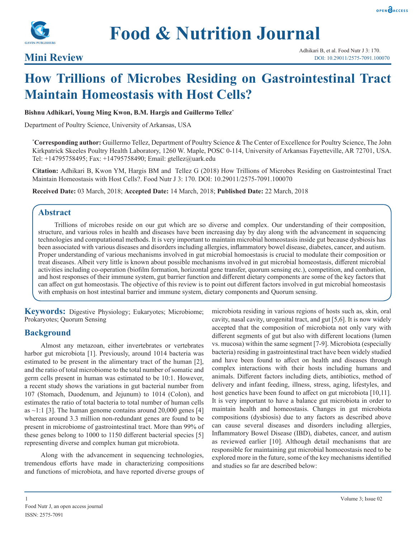



# **Food & Nutrition Journal**

### **Mini Review**

## **How Trillions of Microbes Residing on Gastrointestinal Tract Maintain Homeostasis with Host Cells?**

#### **Bishnu Adhikari, Young Ming Kwon, B.M. Hargis and Guillermo Tellez\***

Department of Poultry Science, University of Arkansas, USA

**\* Corresponding author:** Guillermo Tellez, Department of Poultry Science & The Center of Excellence for Poultry Science, The John Kirkpatrick Skeeles Poultry Health Laboratory, 1260 W. Maple, POSC 0-114, University of Arkansas Fayetteville, AR 72701, USA. Tel: +14795758495; Fax: +14795758490; Email: gtellez@uark.edu

**Citation:** Adhikari B, Kwon YM, Hargis BM and Tellez G (2018) How Trillions of Microbes Residing on Gastrointestinal Tract Maintain Homeostasis with Host Cells?. Food Nutr J 3: 170. DOI: 10.29011/2575-7091.100070

**Received Date:** 03 March, 2018; **Accepted Date:** 14 March, 2018; **Published Date:** 22 March, 2018

#### **Abstract**

Trillions of microbes reside on our gut which are so diverse and complex. Our understanding of their composition, structure, and various roles in health and diseases have been increasing day by day along with the advancement in sequencing technologies and computational methods. It is very important to maintain microbial homeostasis inside gut because dysbiosis has been associated with various diseases and disorders including allergies, inflammatory bowel disease, diabetes, cancer, and autism. Proper understanding of various mechanisms involved in gut microbial homoestasis is crucial to modulate their composition or treat diseases. Albeit very little is known about possible mechanisms involved in gut microbial homeostasis, different microbial activities including co-operation (biofilm formation, horizontal gene transfer, quorum sensing etc.), competition, and combation, and host responses of their immune system, gut barrier function and different dietary components are some of the key factors that can affect on gut homeostasis. The objective of this review is to point out different factors involved in gut microbial homeostasis with emphasis on host intestinal barrier and immune system, dietary components and Quorum sensing.

**Keywords:** Digestive Physiology; Eukaryotes; Microbiome; Prokaryotes; Quorum Sensing

#### **Background**

Almost any metazoan, either invertebrates or vertebrates harbor gut microbiota [1]. Previously, around 1014 bacteria was estimated to be present in the alimentary tract of the human [2], and the ratio of total microbiome to the total number of somatic and germ cells present in human was estimated to be 10:1. However, a recent study shows the variations in gut bacterial number from 107 (Stomach, Duodenum, and Jejunum) to 1014 (Colon), and estimates the ratio of total bacteria to total number of human cells as  $\sim$ 1:1 [3]. The human genome contains around 20,000 genes [4] whereas around 3.3 million non-redundant genes are found to be present in microbiome of gastrointestinal tract. More than 99% of these genes belong to 1000 to 1150 different bacterial species [5] representing diverse and complex human gut microbiota.

Along with the advancement in sequencing technologies, tremendous efforts have made in characterizing compositions and functions of microbiota, and have reported diverse groups of microbiota residing in various regions of hosts such as, skin, oral cavity, nasal cavity, urogenital tract, and gut [5,6]. It is now widely accepted that the composition of microbiota not only vary with different segments of gut but also with different locations (lumen vs. mucosa) within the same segment [7-9]. Microbiota (especially bacteria) residing in gastrointestinal tract have been widely studied and have been found to affect on health and diseases through complex interactions with their hosts including humans and animals. Different factors including diets, antibiotics, method of delivery and infant feeding, illness, stress, aging, lifestyles, and host genetics have been found to affect on gut microbiota [10,11]. It is very important to have a balance gut microbiota in order to maintain health and homeostasis. Changes in gut microbiota compositions (dysbiosis) due to any factors as described above can cause several diseases and disorders including allergies, Inflammatory Bowel Disease (IBD), diabetes, cancer, and autism as reviewed earlier [10]. Although detail mechanisms that are responsible for maintaining gut microbial homoeostasis need to be explored more in the future, some of the key mechanisms identified and studies so far are described below: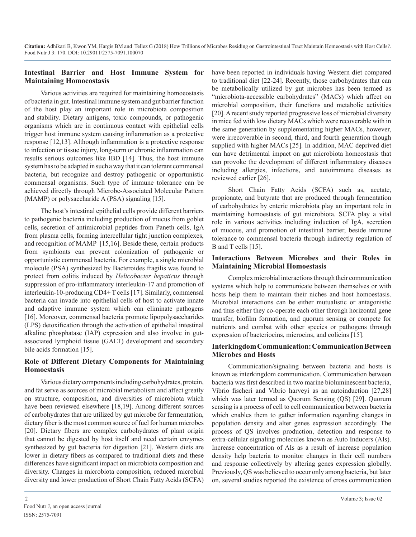#### **Intestinal Barrier and Host Immune System for Maintaining Homoeostasis**

Various activities are required for maintaining homoeostasis of bacteria in gut. Intestinal immune system and gut barrier function of the host play an important role in microbiota composition and stability. Dietary antigens, toxic compounds, or pathogenic organisms which are in continuous contact with epithelial cells trigger host immune system causing inflammation as a protective response [12,13]. Although inflammation is a protective response to infection or tissue injury, long-term or chronic inflammation can results serious outcomes like IBD [14]. Thus, the host immune system has to be adapted in such a way that it can tolerant commensal bacteria, but recognize and destroy pathogenic or opportunistic commensal organisms. Such type of immune tolerance can be achieved directly through Microbe-Associated Molecular Pattern (MAMP) or polysaccharide A (PSA) signaling [15].

The host's intestinal epithelial cells provide different barriers to pathogenic bacteria including production of mucus from goblet cells, secretion of antimicrobial peptides from Paneth cells, IgA from plasma cells, forming intercellular tight junction complexes, and recognition of MAMP [15,16]. Beside these, certain products from symbionts can prevent colonization of pathogenic or opportunistic commensal bacteria. For example, a single microbial molecule (PSA) synthesized by Bacteroides fragilis was found to protect from colitis induced by *Helicobacter hepaticus* through suppression of pro-inflammatory interleukin-17 and promotion of interleukin-10-producing CD4+ T cells [17]. Similarly, commensal bacteria can invade into epithelial cells of host to activate innate and adaptive immune system which can eliminate pathogens [16]. Moreover, commensal bacteria promote lipopolysaccharides (LPS) detoxification through the activation of epithelial intestinal alkaline phosphatase (IAP) expression and also involve in gutassociated lymphoid tissue (GALT) development and secondary bile acids formation [15].

#### **Role of Different Dietary Components for Maintaining Homoestasis**

Various dietary components including carbohydrates, protein, and fat serve as sources of microbial metabolism and affect greatly on structure, composition, and diversities of microbiota which have been reviewed elsewhere [18,19]. Among different sources of carbohydrates that are utilized by gut microbe for fermentation, dietary fiber is the most common source of fuel for human microbes [20]. Dietary fibers are complex carbohydrates of plant origin that cannot be digested by host itself and need certain enzymes synthesized by gut bacteria for digestion [21]. Western diets are lower in dietary fibers as compared to traditional diets and these differences have significant impact on microbiota composition and diversity. Changes in microbiota composition, reduced microbial diversity and lower production of Short Chain Fatty Acids (SCFA)

have been reported in individuals having Western diet compared to traditional diet [22-24]. Recently, those carbohydrates that can be metabolically utilized by gut microbes has been termed as "microbiota-accessible carbohydrates" (MACs) which affect on microbial composition, their functions and metabolic activities [20]. A recent study reported progressive loss of microbial diversity in mice fed with low dietary MACs which were recoverable with in the same generation by supplementating higher MACs, however, were irrecoverable in second, third, and fourth generation though supplied with higher MACs [25]. In addition, MAC deprived diet can have detrimental impact on gut microbiota homeostasis that can provoke the development of different inflammatory diseases including allergies, infections, and autoimmune diseases as reviewed earlier [26].

Short Chain Fatty Acids (SCFA) such as, acetate, propionate, and butyrate that are produced through fermentation of carbohydrates by enteric microbiota play an important role in maintaining homoestasis of gut microbiota. SCFA play a vital role in various activities including induction of IgA, secretion of mucous, and promotion of intestinal barrier, beside immune tolerance to commensal bacteria through indirectly regulation of B and T cells [15].

#### **Interactions Between Microbes and their Roles in Maintaining Microbial Homoestasis**

Complex microbial interactions through their communication systems which help to communicate between themselves or with hosts help them to maintain their niches and host homoestasis. Microbial interactions can be either mutualistic or antagonistic and thus either they co-operate each other through horizontal gene transfer, biofilm formation, and quorum sensing or compete for nutrients and combat with other species or pathogens through expression of bacteriocins, microcins, and colicins [15].

#### **Interkingdom Communication: Communication Between Microbes and Hosts**

Communication/signaling between bacteria and hosts is known as interkingdom communication. Communication between bacteria was first described in two marine bioluminescent bacteria, Vibrio fischeri and Vibrio harveyi as an autoinduction [27,28] which was later termed as Quorum Sensing (QS) [29]. Quorum sensing is a process of cell to cell communication between bacteria which enables them to gather information regarding changes in population density and alter genes expression accordingly. The process of QS involves production, detection and response to extra-cellular signaling molecules known as Auto Inducers (AIs). Increase concentration of AIs as a result of increase population density help bacteria to monitor changes in their cell numbers and response collectively by altering genes expression globally. Previously, QS was believed to occur only among bacteria, but later on, several studies reported the existence of cross communication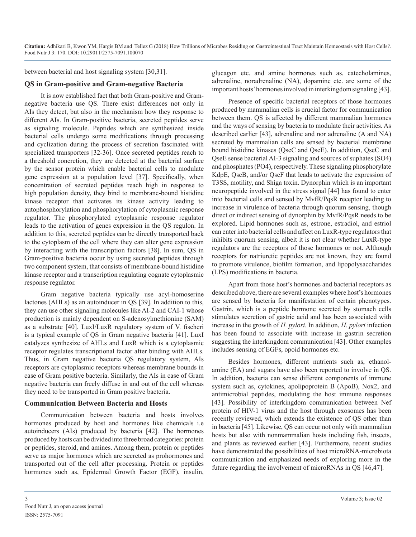between bacterial and host signaling system [30,31].

#### **QS in Gram-positive and Gram-negative Bacteria**

It is now established fact that both Gram-positive and Gramnegative bacteria use QS. There exist differences not only in AIs they detect, but also in the mechanism how they response to different AIs. In Gram-positive bacteria, secreted peptides serve as signaling molecule. Peptides which are synthesized inside bacterial cells undergo some modifications through processing and cyclization during the process of secretion fascinated with specialized transporters [32-36]. Once secreted peptides reach to a threshold concretion, they are detected at the bacterial surface by the sensor protein which enable bacterial cells to modulate gene expression at a population level [37]. Specifically, when concentration of secreted peptides reach high in response to high population density, they bind to membrane-bound histidine kinase receptor that activates its kinase activity leading to autophosphorylation and phosphorylation of cytoplasmic response regulator. The phosphorylated cytoplasmic response regulator leads to the activation of genes expression in the QS regulon. In addition to this, secreted peptides can be directly transported back to the cytoplasm of the cell where they can alter gene expression by interacting with the transcription factors [38]. In sum, QS in Gram-positive bacteria occur by using secreted peptides through two component system, that consists of membrane-bound histidine kinase receptor and a transcription regulating cognate cytoplasmic response regulator.

Gram negative bacteria typically use acyl-homoserine lactones (AHLs) as an autoinducer in QS [39]. In addition to this, they can use other signaling molecules like AI-2 and CAI-1 whose production is mainly dependent on S-adenosylmethionine (SAM) as a substrate [40]. LuxI/LuxR regulatory system of V. fischeri is a typical example of QS in Gram negative bacteria [41]. LuxI catalyzes synthesize of AHLs and LuxR which is a cytoplasmic receptor regulates transcriptional factor after binding with AHLs. Thus, in Gram negative bacteria QS regulatory system, AIs receptors are cytoplasmic receptors whereas membrane bounds in case of Gram positive bacteria. Similarly, the AIs in case of Gram negative bacteria can freely diffuse in and out of the cell whereas they need to be transported in Gram positive bacteria.

#### **Communication Between Bacteria and Hosts**

Communication between bacteria and hosts involves hormones produced by host and hormones like chemicals i.e autoinducers (AIs) produced by bacteria [42]. The hormones produced by hosts can be divided into three broad categories: protein or peptides, steroid, and amines. Among them, protein or peptides serve as major hormones which are secreted as prohormones and transported out of the cell after processing. Protein or peptides hormones such as, Epidermal Growth Factor (EGF), insulin,

glucagon etc. and amine hormones such as, catecholamines, adrenaline, noradrenaline (NA), dopamine etc. are some of the important hosts' hormones involved in interkingdom signaling [43].

Presence of specific bacterial receptors of those hormones produced by mammalian cells is crucial factor for communication between them. QS is affected by different mammalian hormones and the ways of sensing by bacteria to modulate their activities. As described earlier [43], adrenaline and nor adrenaline (A and NA) secreted by mammalian cells are sensed by bacterial membrane bound histidine kinases (QseC and QseE). In addition, QseC and QseE sense bacterial AI-3 signaling and sources of suphates (SO4) and phosphates (PO4), respectively. These signaling phosphorylate KdpE, QseB, and/or QseF that leads to activate the expression of T3SS, motility, and Shiga toxin. Dynorphin which is an important neuropeptide involved in the stress signal [44] has found to enter into bacterial cells and sensed by MvfR/PqsR receptor leading to increase in virulence of bacteria through quorum sensing, though direct or indirect sensing of dynorphin by MvfR/PqsR needs to be explored. Lipid hormones such as, estrone, estradiol, and estriol can enter into bacterial cells and affect on LuxR-type regulators that inhibits quorum sensing, albeit it is not clear whether LuxR-type regulators are the receptors of those hormones or not. Although receptors for natriuretic peptides are not known, they are found to promote virulence, biofilm formation, and lipopolysaccharides (LPS) modifications in bacteria.

Apart from those host's hormones and bacterial receptors as described above, there are several examples where host's hormones are sensed by bacteria for manifestation of certain phenotypes. Gastrin, which is a peptide hormone secreted by stomach cells stimulates secretion of gastric acid and has been associated with increase in the growth of *H. pylori*. In addition, *H. pylori* infection has been found to associate with increase in gastrin secretion suggesting the interkingdom communication [43]. Other examples includes sensing of EGFs, opoid hormones etc.

Besides hormones, different nutrients such as, ethanolamine (EA) and sugars have also been reported to involve in QS. In addition, bacteria can sense different components of immune system such as, cytokines, apolipoprotein B (ApoB), Nox2, and antimicrobial peptides, modulating the host immune responses [43]. Possibility of interkingdom communication between Nef protein of HIV-1 virus and the host through exosomes has been recently reviewed, which extends the existence of QS other than in bacteria [45]. Likewise, QS can occur not only with mammalian hosts but also with nonmammalian hosts including fish, insects, and plants as reviewed earlier [43]. Furthermore, recent studies have demonstrated the possibilities of host microRNA-microbiota communication and emphasized needs of exploring more in the future regarding the involvement of microRNAs in QS [46,47].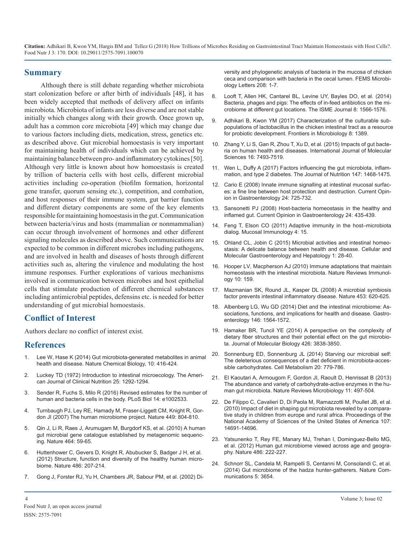**Citation:** Adhikari B, Kwon YM, Hargis BM and Tellez G (2018) How Trillions of Microbes Residing on Gastrointestinal Tract Maintain Homeostasis with Host Cells?. Food Nutr J 3: 170. DOI: 10.29011/2575-7091.100070

#### **Summary**

Although there is still debate regarding whether microbiota start colonization before or after birth of individuals [48], it has been widely accepted that methods of delivery affect on infants microbiota. Microbiota of infants are less diverse and are not stable initially which changes along with their growth. Once grown up, adult has a common core microbiota [49] which may change due to various factors including diets, medication, stress, genetics etc. as described above. Gut microbial homoestasis is very important for maintaining health of individuals which can be achieved by maintaining balance between pro- and inflammatory cytokines [50]. Although very little is known about how homoestasis is created by trillion of bacteria cells with host cells, different microbial activities including co-operation (biofilm formation, horizontal gene transfer, quorum sensing etc.), competition, and combation, and host responses of their immune system, gut barrier function and different dietary components are some of the key elements responsible for maintaining homoestasis in the gut. Communication between bacteria/virus and hosts (mammalian or nonmammalian) can occur through involvement of hormones and other different signaling molecules as described above. Such communications are expected to be common in different microbes including pathogens, and are involved in health and diseases of hosts through different activities such as, altering the virulence and modulating the host immune responses. Further explorations of various mechanisms involved in communication between microbes and host epithelial cells that stimulate production of different chemical substances including antimicrobial peptides, defensins etc. is needed for better understanding of gut microbial homoestasis.

#### **Conflict of Interest**

Authors declare no conflict of interest exist.

#### **References**

- 1. [Lee W, Hase K \(2014\) Gut microbiota-generated metabolites in anima](https://www.ncbi.nlm.nih.gov/pubmed/24838170)l health and disease. Nature Chemical Biology, 10: 416-424.
- 2. [Luckey TD \(1972\) Introduction to intestinal microecology.](https://www.ncbi.nlm.nih.gov/pubmed/4639749) The American Journal of Clinical Nutrition 25: 1292-1294.
- 3. [Sender R, Fuchs S, Milo R \(2016\) Revised estimates for the number o](http://journals.plos.org/plosbiology/article?id=10.1371/journal.pbio.1002533)f human and bacteria cells in the body. PLoS Biol 14: e1002533.
- 4. [Turnbaugh PJ, Ley RE, Hamady M, Fraser-Liggett CM, Knight R, Gor](https://www.ncbi.nlm.nih.gov/pubmed/17943116)don JI (2007) The human microbiome project. Nature 449: 804-810.
- 5. [Qin J, Li R, Raes J, Arumugam M, Burgdorf KS, et al. \(2010\) A human](https://www.nature.com/articles/nature08821)  gut microbial gene catalogue established by metagenomic sequencing. Nature [464: 59-65.](https://www.nature.com/articles/nature08821)
- 6. [Huttenhower C, Gevers D, Knight R, Abubucker S, Badger J H, et al.](https://www.nature.com/articles/nature11234)  (2012) Structure, function and diversity of the healthy human microbiome. Nature [486: 207-214.](https://www.nature.com/articles/nature11234)
- 7. [Gong J, Forster RJ, Yu H, Chambers JR, Sabour PM, et al. \(2002\) Di-](https://www.ncbi.nlm.nih.gov/pubmed/11934485)

versity and phylogenetic analysis of bacteria in the mucosa of chicke[n](https://www.ncbi.nlm.nih.gov/pubmed/11934485)  [ceca and comparison with bacteria in the cecal lumen.](https://www.ncbi.nlm.nih.gov/pubmed/11934485) FEMS Microbi[ology Letters](https://www.ncbi.nlm.nih.gov/pubmed/11934485) 208: 1-7.

- 8. [Looft T, Allen HK, Cantarel BL, Levine UY, Bayles DO, et al. \(2014\)](https://www.ncbi.nlm.nih.gov/pubmed/24522263)  Bacteria, phages and pigs: The effects of in-feed antibiotics on the mi[crobiome at different gut locations.](https://www.ncbi.nlm.nih.gov/pubmed/24522263) The ISME Journal 8: 1566-1576.
- 9. [Adhikari B, Kwon YM \(2017\) Characterization of the culturable sub](https://www.ncbi.nlm.nih.gov/pubmed/28798730)populations of lactobacillus in the chicken intestinal tract as a resourc[e](https://www.ncbi.nlm.nih.gov/pubmed/28798730)  [for probiotic development.](https://www.ncbi.nlm.nih.gov/pubmed/28798730) Frontiers in Microbiology 8: 1389.
- 10. [Zhang Y, Li S, Gan R, Zhou T, Xu D, et al. \(2015\) Impacts of gut bacte](https://www.ncbi.nlm.nih.gov/pubmed/25849657)ria on human health and diseases. International Journal of Molecular Sciences [16: 7493-7519.](https://www.ncbi.nlm.nih.gov/pubmed/25849657)
- 11. [Wen L, Duffy A \(2017\) Factors influencing the gut microbiota, inflam](https://www.ncbi.nlm.nih.gov/pubmed/28615382)mation, and type 2 diabetes. The Journal of Nutrition 147: 1468-1475[.](https://www.ncbi.nlm.nih.gov/pubmed/28615382)
- 12. [Cario E \(2008\) Innate immune signalling at intestinal mucosal surfac](https://www.ncbi.nlm.nih.gov/pubmed/19122523)es: a fine line between host protection and destruction. Current Opin[ion in Gastroenterology 24: 725-732.](https://www.ncbi.nlm.nih.gov/pubmed/19122523)
- 13. [Sansonetti PJ \(2008\) Host-bacteria homeostasis in the healthy and](https://www.ncbi.nlm.nih.gov/pubmed/18622156)  inflamed gut. Current Opinion in Gastroenterology 24: 435-439.
- 14. [Feng T, Elson CO \(2011\) Adaptive immunity in the host–microbiota](https://www.ncbi.nlm.nih.gov/pubmed/20944557)  dialog. Mucosal Immunology 4: 15.
- 15. [Ohland CL, Jobin C \(2015\) Microbial activities and intestinal homeo](https://www.ncbi.nlm.nih.gov/pubmed/25729763)stasis: A delicate balance between health and disease. Cellular an[d](https://www.ncbi.nlm.nih.gov/pubmed/25729763)  [Molecular Gastroenterology and Hepatology](https://www.ncbi.nlm.nih.gov/pubmed/25729763) 1: 28-40.
- 16. [Hooper LV, Macpherson AJ \(2010\) Immune adaptations that maintain](https://www.ncbi.nlm.nih.gov/pubmed/20182457)  homeostasis with the intestinal microbiota. Nature Reviews Immunology [10: 159.](https://www.ncbi.nlm.nih.gov/pubmed/20182457)
- 17. [Mazmanian SK, Round JL, Kasper DL \(2008\) A microbial symbiosis](https://www.nature.com/articles/nature07008)  factor prevents intestinal inflammatory disease. Nature 453: 620-625.
- 18. [Albenberg LG, Wu GD \(2014\) Diet and the intestinal microbiome: As](https://www.ncbi.nlm.nih.gov/pubmed/24503132)sociations, functions, and implications for health and disease. Gastroenterology [146: 1564-1572.](https://www.ncbi.nlm.nih.gov/pubmed/24503132)
- 19. [Hamaker BR, Tuncil YE \(2014\) A perspective on the complexity of](https://www.ncbi.nlm.nih.gov/pubmed/25088686)  dietary fiber structures and their potential effect on the gut microbiota. [Journal of Molecular Biology](https://www.ncbi.nlm.nih.gov/pubmed/25088686) 426: 3838-3850.
- 20. [Sonnenburg ED, Sonnenburg JL \(2014\) Starving our microbial self:](https://www.ncbi.nlm.nih.gov/pubmed/25156449)  [The deleterious consequences of a diet deficient in microbiota-acces](https://www.ncbi.nlm.nih.gov/pubmed/24838170)[sible carbohydrates.](https://www.ncbi.nlm.nih.gov/pubmed/25156449) Cell Metabolism 20: 779-786.
- 21. [El Kaoutari A, Armougom F, Gordon JI, Raoult D, Henrissat B \(2013\)](https://www.ncbi.nlm.nih.gov/pubmed/23748339) The abundance and variety of carbohydrate-active enzymes in the hu[man gut microbiota. Nature Reviews Microbiology](https://www.ncbi.nlm.nih.gov/pubmed/23748339) 11: 497-504.
- 22. [De Filippo C, Cavalieri D, Di Paola M, Ramazzotti M, Poullet JB, et al.](https://www.ncbi.nlm.nih.gov/pubmed/20679230) (2010) Impact of diet in shaping gut microbiota revealed by a compara[tive study in children from europe and rural africa.](https://www.ncbi.nlm.nih.gov/pubmed/20679230) Proceedings of the [National Academy of Sciences of the United States of America](https://www.ncbi.nlm.nih.gov/pubmed/20679230) 107: [14691-14696.](https://www.ncbi.nlm.nih.gov/pubmed/20679230)
- 23. [Yatsunenko T, Rey FE, Manary MJ, Trehan I, Dominguez-Bello MG,](https://www.nature.com/articles/nature11053) et al. (2012) Human gut microbiome viewed across age and geography. Nature [486: 222-227.](https://www.nature.com/articles/nature11053)
- 24. [Schnorr SL, Candela M, Rampelli S, Centanni M, Consolandi C, et al.](https://www.nature.com/articles/ncomms4654) (2014) Gut microbiome of the hadza hunter-gatherers. Nature Com[munications](https://www.nature.com/articles/ncomms4654) 5: 3654.